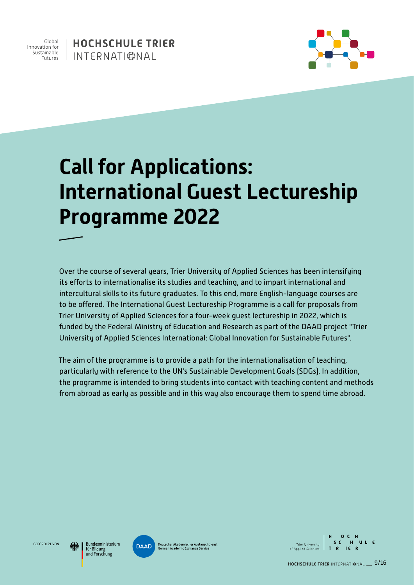

**HOCHSCHULE TRIER** INTERNATIONAL



# **Call for Applications: International Guest Lectureship Programme 2022**

Trier University of Applied Sciences for a four-week guest lectureship in 2022, which is funded by the Federal Ministry of Education and Research as part of the DAAD project "Trier University of Applied Sciences International: Global Innovation for Sustainable Futures". to be offered. The International Guest Lectureship Programme is a call for proposals from Over the course of several years, Trier University of Applied Sciences has been intensifying its efforts to internationalise its studies and teaching, and to impart international and intercultural skills to its future graduates. To this end, more English-language courses are

The aim of the programme is to provide a path for the internationalisation of teaching, where  $\epsilon$ he Lillis Sustainable Development Ceals (SDCs). In addition particularly with reference to the UN's Sustainable Development Goals (SDGs). In addition, durch die sinnvolle Verschränkung von realer und virtueller Mobilität noch intensiver vor- und nachbereitet werden. Für the programme is intended to bring students into contact with teaching content and methods from abroad as early as possible and in this way also encourage them to spend time abroad.

GEFÖRDERT VON

Bundesministerium für Bildung und Forschung



**■** Mehrteilige Trainings- und Best-Practice Reihe zu "Internationalisierung der Lehre durch Virtual Exchange & Blended Mobility" **Deutscher Akademischer Austauschdienst**<br> **B** Initial der Hochschule Trier University **SC HULE**<br> **German Academic Exchange Service Container Australian der Australisierung der German Academic Exchange Service** of Annlied Sciences

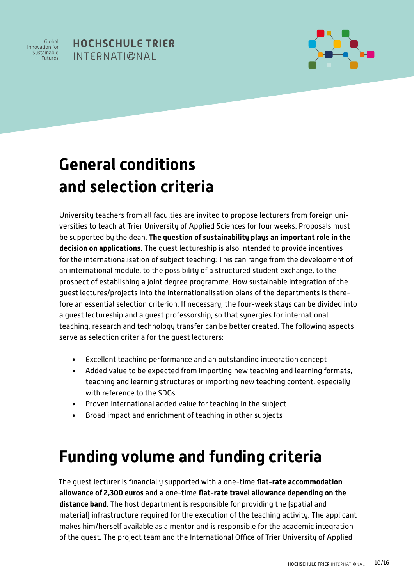

#### **HOCHSCHULE TRIER** I INTERNATI©NAI



## **General conditions and selection criteria**

gadde recear darger gades into the internationalisation plans of the departments is there.<br>fore an essential selection criterion. If necessary, the four-week stays can be divided into a guest lectureship and a guest professorship, so that synergies for international "Die Digitalisierung erönet neue Möglichkeiten University teachers from all faculties are invited to propose lecturers from foreign universities to teach at Trier University of Applied Sciences for four weeks. Proposals must be supported by the dean. **The question of sustainability plays an important role in the decision on applications.** The guest lectureship is also intended to provide incentives for the internationalisation of subject teaching: This can range from the development of an international module, to the possibility of a structured student exchange, to the prospect of establishing a joint degree programme. How sustainable integration of the guest lectures/projects into the internationalisation plans of the departments is thereteaching, research and technology transfer can be better created. The following aspects serve as selection criteria for the guest lecturers:

- Excellent teaching performance and an outstanding integration concept
- Added value to be expected from importing new teaching and learning formats, teaching and learning structures or importing new teaching content, especially Digitalisierung und Internationalisierung unbedingt with reference to the SDGs
- Proven international added value for teaching in the subject
- **•** Broad impact and enrichment of teaching in other subjects

### Funding volume and funding criteria

Umwelt-Campus Birkenfeld allowance of 2,300 euros and a one-time flat-rate travel allowance depending on the campus alle en stadten verwendten werd in de stadten werd verwendten werd verwendten werd verwendten werd verwendten werd verwendten werd verwendten werd verwendten werd verwendten werd verwendten werd verwendten werd verw hat laita ritu. The annlic: ww.hochschule-trier.de/go/profile-trier.de/go/profile-trier.de/go/profile-I with a one-time f The guest lecturer is financially supported with a one-time **flat-rate accommodation** rnancihle far nr **distance band**. The host department is responsible for providing the (spatial and material) infrastructure required for the execution of the teaching activity. The applicant makes him/herself available as a mentor and is responsible for the academic integration of the guest. The project team and the International Office of Trier University of Applied